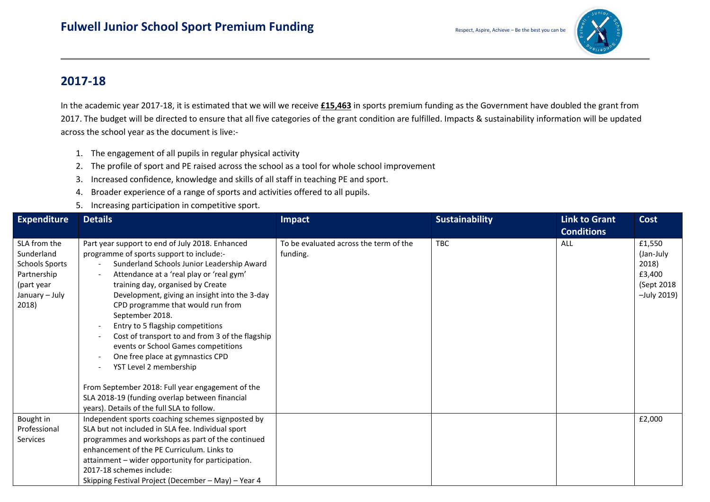

## **2017-18**

In the academic year 2017-18, it is estimated that we will we receive **£15,463** in sports premium funding as the Government have doubled the grant from 2017. The budget will be directed to ensure that all five categories of the grant condition are fulfilled. Impacts & sustainability information will be updated across the school year as the document is live:-

- 1. The engagement of all pupils in regular physical activity
- 2. The profile of sport and PE raised across the school as a tool for whole school improvement
- 3. Increased confidence, knowledge and skills of all staff in teaching PE and sport.
- 4. Broader experience of a range of sports and activities offered to all pupils.
- 5. Increasing participation in competitive sport.

| <b>Expenditure</b>                                                                                          | <b>Details</b>                                                                                                                                                                                                                                                                                                                                                                                                                                                                                                                                                                                                                              | Impact                                             | <b>Sustainability</b> | <b>Link to Grant</b> | <b>Cost</b>                                                          |
|-------------------------------------------------------------------------------------------------------------|---------------------------------------------------------------------------------------------------------------------------------------------------------------------------------------------------------------------------------------------------------------------------------------------------------------------------------------------------------------------------------------------------------------------------------------------------------------------------------------------------------------------------------------------------------------------------------------------------------------------------------------------|----------------------------------------------------|-----------------------|----------------------|----------------------------------------------------------------------|
|                                                                                                             |                                                                                                                                                                                                                                                                                                                                                                                                                                                                                                                                                                                                                                             |                                                    |                       | <b>Conditions</b>    |                                                                      |
| SLA from the<br>Sunderland<br><b>Schools Sports</b><br>Partnership<br>(part year<br>January - July<br>2018) | Part year support to end of July 2018. Enhanced<br>programme of sports support to include:-<br>Sunderland Schools Junior Leadership Award<br>Attendance at a 'real play or 'real gym'<br>training day, organised by Create<br>Development, giving an insight into the 3-day<br>CPD programme that would run from<br>September 2018.<br>Entry to 5 flagship competitions<br>Cost of transport to and from 3 of the flagship<br>events or School Games competitions<br>One free place at gymnastics CPD<br>$\overline{\phantom{a}}$<br>YST Level 2 membership<br>$\overline{\phantom{a}}$<br>From September 2018: Full year engagement of the | To be evaluated across the term of the<br>funding. | <b>TBC</b>            | ALL                  | £1,550<br>(Jan-July<br>2018)<br>£3,400<br>(Sept 2018)<br>-July 2019) |
|                                                                                                             | SLA 2018-19 (funding overlap between financial<br>years). Details of the full SLA to follow.                                                                                                                                                                                                                                                                                                                                                                                                                                                                                                                                                |                                                    |                       |                      |                                                                      |
| Bought in<br>Professional<br>Services                                                                       | Independent sports coaching schemes signposted by<br>SLA but not included in SLA fee. Individual sport<br>programmes and workshops as part of the continued<br>enhancement of the PE Curriculum. Links to<br>attainment - wider opportunity for participation.<br>2017-18 schemes include:<br>Skipping Festival Project (December - May) - Year 4                                                                                                                                                                                                                                                                                           |                                                    |                       |                      | £2,000                                                               |